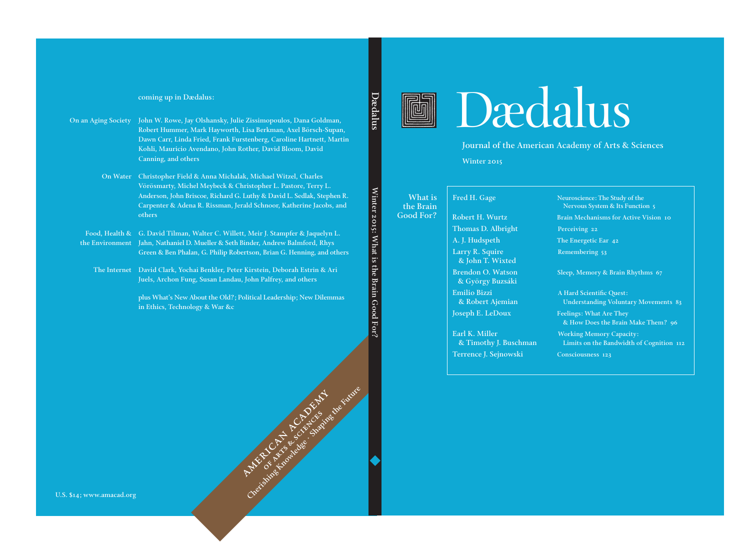

## Dædalus

**Journal of the American Academy of Arts & Sciences**

**Winter 2015**

**What is the Brain Good For?**

**Thomas D. Albright Perceiving 22 A. J. Hudspeth The Energetic Ear 42 Larry R. Squire Remembering 53 & John T. Wixted & György Buzsáki Emilio Bizzi** A Hard Scientific Quest:

Earl K. Miller Working Memory Capacity:<br>& Timothy J. Buschman Limits on the Bandwidth o **Terrence J. Sejnowski Consciousness 123**

[Fred H. Gage Neuroscience: The Study of the](#page-1-0) **Nervous System & Its Function 5 Robert H. Wurtz Brain Mechanisms for Active Vision 10**

**Brendon O. Watson Sleep, Memory & Brain Rhythms 67**

**& Robert Ajemian Understanding Voluntary Movements 83**

**Joseph E. LeDoux Feelings: What Are They & How Does the Brain Make Them? 96**

Limits on the Bandwidth of Cognition 112

**Dædalus**

Dædalus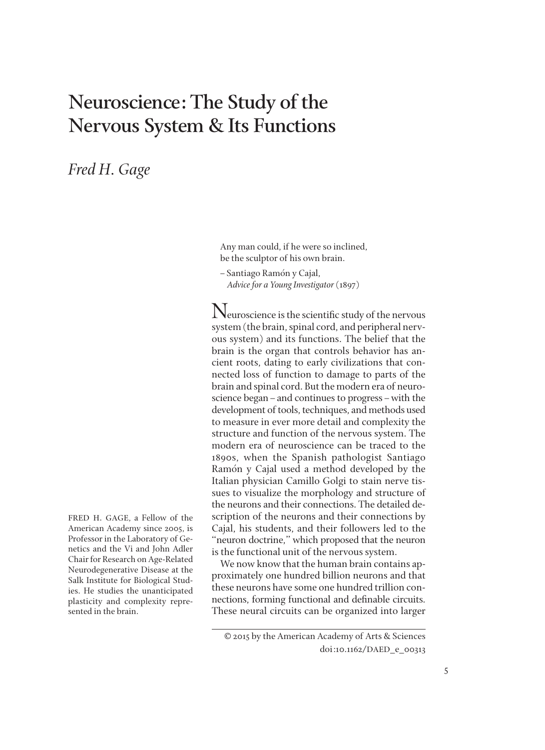## <span id="page-1-0"></span>**Neuroscience: The Study of the Nervous System & Its Functions**

## *Fred H. Gage*

Any man could, if he were so inclined, be the sculptor of his own brain.

–Santiago Ramón y Cajal, *Advice for a Young Investigator* (1897)

 $\rm N$ euroscience is the scientific study of the nervous system (the brain, spinal cord, and peripheral nervous system) and its functions. The belief that the brain is the organ that controls behavior has ancient roots, dating to early civilizations that connected loss of function to damage to parts of the brain and spinal cord. But the modern era of neuroscience began–and continues to progress–with the development of tools, techniques, and methods used to measure in ever more detail and complexity the structure and function of the nervous system. The modern era of neuroscience can be traced to the 1890s, when the Spanish pathologist Santiago Ramón y Cajal used a method developed by the Italian physician Camillo Golgi to stain nerve tissues to visualize the morphology and structure of the neurons and their connections. The detailed description of the neurons and their connections by Cajal, his students, and their followers led to the "neuron doctrine," which proposed that the neuron is the functional unit of the nervous system.

We now know that the human brain contains approximately one hundred billion neurons and that these neurons have some one hundred trillion connections, forming functional and definable circuits. These neural circuits can be organized into larger

FRED H. GAGE, a Fellow of the American Academy since 2005, is Professor in the Laboratory of Genetics and the Vi and John Adler Chair for Research on Age-Related Neurodegenerative Disease at the Salk Institute for Biological Studies. He studies the unanticipated plasticity and complexity represented in the brain.

<sup>© 2015</sup> by the American Academy of Arts & Sciences doi:10.1162/DAED\_e\_00313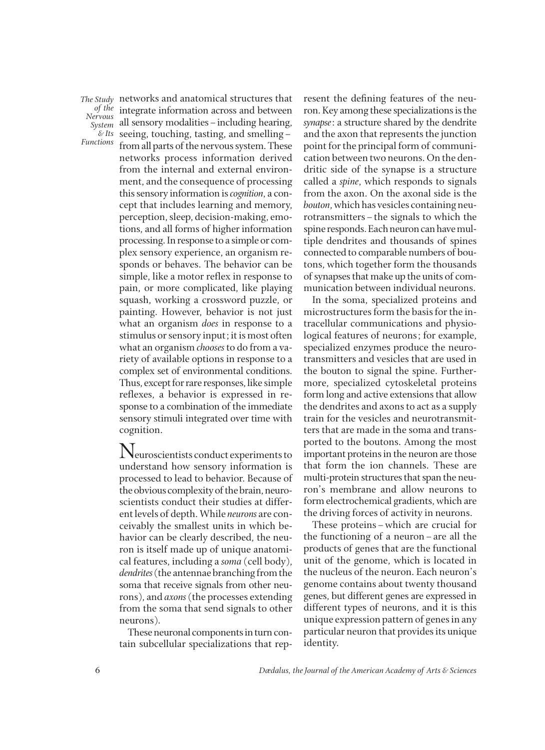The Study networks and anatomical structures that *System* 

integrate information across and between *of the*  all sensory modalities–including hearing, *Nervous* seeing, touching, tasting, and smelling– *& Its* from all parts of the nervous system. These *Functions* networks process information derived from the internal and external environment, and the consequence of processing this sensory information is *cognition*, a con cept that includes learning and memory, perception, sleep, decision-making, emotions, and all forms of higher information processing. In response to a simple or com plex sensory experience, an organism responds or behaves. The behavior can be simple, like a motor reflex in response to pain, or more complicated, like playing squash, working a crossword puzzle, or painting. However, behavior is not just what an organism *does* in response to a stimulus or sensory input; it is most often what an organism *chooses* to do from a variety of available options in response to a complex set of environmental conditions. Thus, except for rare responses, like simple reflexes, a behavior is expressed in response to a combination of the immediate sensory stimuli integrated over time with cognition.

> Neuroscientists conduct experiments to understand how sensory information is processed to lead to behavior. Because of the obvious complexity of the brain, neuro scientists conduct their studies at different levels of depth. While *neurons* are conceivably the smallest units in which be havior can be clearly described, the neuron is itself made up of unique anatomical features, including a *soma* (cell body), *dendrites*(the antennae branching from the soma that receive signals from other neurons), and *axons*(the processes extending from the soma that send signals to other neurons).

> These neuronal components in turn contain subcellular specializations that rep

resent the defining features of the neuron. Key among these specializations is the *synapse*: a structure shared by the dendrite and the axon that represents the junction point for the principal form of communication between two neurons. On the dendritic side of the synapse is a structure called a *spine*, which responds to signals from the axon. On the axonal side is the *bouton*, which has vesicles containing neurotransmitters – the signals to which the spine responds. Each neuron can have mul tiple dendrites and thousands of spines connected to comparable numbers of boutons, which together form the thousands of synapses that make up the units of com munication between individual neurons.

In the soma, specialized proteins and microstructures form the basis for the intracellular communications and physiological features of neurons; for example, specialized enzymes produce the neurotransmitters and vesicles that are used in the bouton to signal the spine. Furthermore, specialized cytoskeletal proteins form long and active extensions that allow the dendrites and axons to act as a supply train for the vesicles and neurotransmitters that are made in the soma and transported to the boutons. Among the most important proteins in the neuron are those that form the ion channels. These are multi-protein structures that span the neu ron's membrane and allow neurons to form electrochemical gradients, which are the driving forces of activity in neurons.

These proteins–which are crucial for the functioning of a neuron–are all the products of genes that are the functional unit of the genome, which is located in the nucleus of the neuron. Each neuron's genome contains about twenty thousand genes, but different genes are expressed in different types of neurons, and it is this unique expression pattern of genes in any particular neuron that provides its unique identity.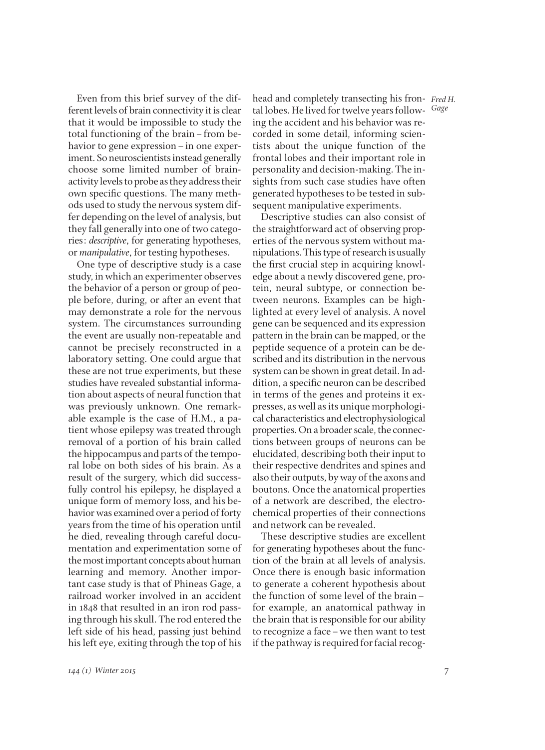Even from this brief survey of the different levels of brain connectivity it is clear that it would be impossible to study the total functioning of the brain–from be havior to gene expression–in one experiment. So neuroscientists instead generally choose some limited number of brainactivity levels to probe as they address their own specific questions. The many methods used to study the nervous system differ depending on the level of analysis, but they fall generally into one of two categories: *descriptive*, for generating hypotheses, or *manipulative*, for testing hypotheses.

One type of descriptive study is a case study, in which an experimenter observes the behavior of a person or group of people before, during, or after an event that may demonstrate a role for the nervous system. The circumstances surrounding the event are usually non-repeatable and cannot be precisely reconstructed in a laboratory setting. One could argue that these are not true experiments, but these studies have revealed substantial information about aspects of neural function that was previously unknown. One remarkable example is the case of H.M., a patient whose epilepsy was treated through removal of a portion of his brain called the hippocampus and parts of the temporal lobe on both sides of his brain. As a result of the surgery, which did successfully control his epilepsy, he displayed a unique form of memory loss, and his be havior was examined over a period of forty years from the time of his operation until he died, revealing through careful documentation and experimentation some of the most important concepts about human learning and memory. Another important case study is that of Phineas Gage, a railroad worker involved in an accident in 1848 that resulted in an iron rod passing through his skull. The rod entered the left side of his head, passing just behind his left eye, exiting through the top of his

head and completely transecting his fron- Fred H. tal lobes. He lived for twelve years follow-*Gage* ing the accident and his behavior was recorded in some detail, informing scientists about the unique function of the frontal lobes and their important role in personality and decision-making. The in sights from such case studies have often generated hypotheses to be tested in subsequent manipulative experiments.

Descriptive studies can also consist of the straightforward act of observing properties of the nervous system without ma nip ulations. This type of research is usually the first crucial step in acquiring knowledge about a newly discovered gene, protein, neural subtype, or connection be tween neurons. Examples can be highlighted at every level of analysis. A novel gene can be sequenced and its expression pattern in the brain can be mapped, or the peptide sequence of a protein can be described and its distribution in the nervous system can be shown in great detail. In addition, a specific neuron can be described in terms of the genes and proteins it expresses, as well as its unique morphological characteristics and electrophysiological properties. On a broader scale, the connections between groups of neurons can be elucidated, describing both their input to their respective dendrites and spines and also their outputs, by way of the axons and boutons. Once the anatomical properties of a network are described, the electrochemical properties of their connections and network can be revealed.

These descriptive studies are excellent for generating hypotheses about the function of the brain at all levels of analysis. Once there is enough basic information to generate a coherent hypothesis about the function of some level of the brain– for example, an anatomical pathway in the brain that is responsible for our ability to recognize a face–we then want to test if the pathway is required for facial recog-

*144 (1) Winter 2015*

7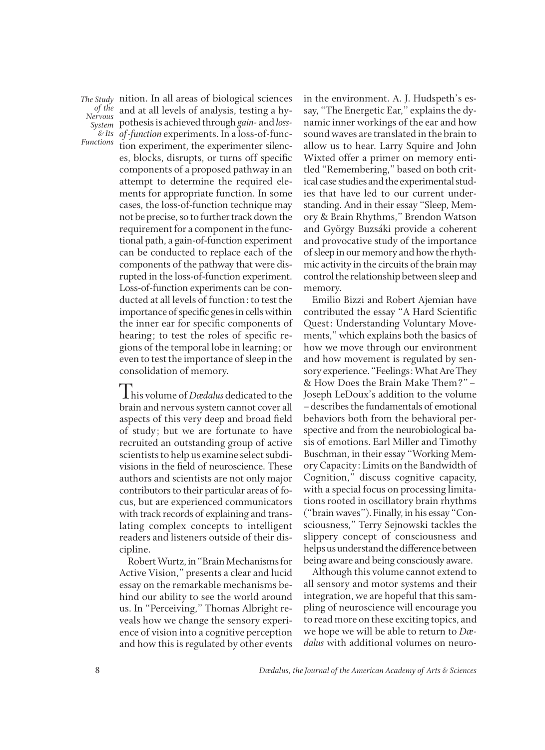The Study nition. In all areas of biological sciences of the and at all levels of analysis, testing a hy-*Nervous*

pothesis is achieved through *gain-* and *loss-System of-function* experiments. In a loss-of-func-*& Its* tion experiment, the experimenter silences, blocks, disrupts, or turns off specific components of a proposed pathway in an attempt to determine the required elements for appropriate function. In some cases, the loss-of-function technique may not be precise, so to further track down the requirement for a component in the functional path, a gain-of-function experiment can be conducted to replace each of the components of the pathway that were disrupted in the loss-of-function experiment. Loss-of-function experiments can be conducted at all levels of function: to test the importance of specific genes in cells within the inner ear for specific components of hearing; to test the roles of specific regions of the temporal lobe in learning; or even to test the importance of sleep in the consolidation of memory. *Functions*

> This volume of *Dædalus* dedicated to the brain and nervous system cannot cover all aspects of this very deep and broad field of study; but we are fortunate to have recruited an outstanding group of active scientists to help us examine select subdivisions in the field of neuroscience. These authors and scientists are not only major contributors to their particular areas of focus, but are experienced communicators with track records of explaining and translating complex concepts to intelligent readers and listeners outside of their discipline.

> Robert Wurtz, in "Brain Mechanisms for Active Vision," presents a clear and lucid essay on the remarkable mechanisms be hind our ability to see the world around us. In "Perceiving," Thomas Albright re veals how we change the sensory experience of vision into a cognitive perception and how this is regulated by other events

in the environment. A. J. Hudspeth's essay, "The Energetic Ear," explains the dynamic inner workings of the ear and how sound waves are translated in the brain to allow us to hear. Larry Squire and John Wixted offer a primer on memory entitled "Remembering," based on both critical case studies and the experimental studies that have led to our current understanding. And in their essay "Sleep, Mem ory & Brain Rhythms," Brendon Watson and György Buzsáki provide a coherent and provocative study of the importance of sleep in our memory and how the rhyth mic activity in the circuits of the brain may control the relationship between sleep and memory.

Emilio Bizzi and Robert Ajemian have contributed the essay "A Hard Scientific Quest: Understanding Voluntary Movements," which explains both the basics of how we move through our environment and how movement is regulated by sensory experience. "Feelings: What Are They & How Does the Brain Make Them?"– Joseph LeDoux's addition to the volume –describes the fundamentals of emotional behaviors both from the behavioral perspective and from the neurobiological basis of emotions. Earl Miller and Timothy Buschman, in their essay "Working Mem ory Capacity: Limits on the Bandwidth of Cognition," discuss cognitive capacity, with a special focus on processing limitations rooted in oscillatory brain rhythms ("brain waves"). Finally, in his essay "Con sciousness," Terry Sejnowski tackles the slippery concept of consciousness and helps us understand the difference between being aware and being consciously aware.

Although this volume cannot extend to all sensory and motor systems and their in tegration, we are hopeful that this sampling of neuroscience will encourage you to read more on these exciting topics, and we hope we will be able to return to *Dæ dalus* with additional volumes on neuro